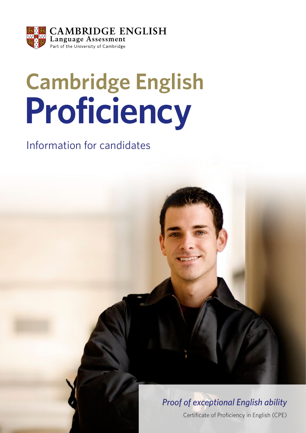

# **Cambridge English Proficiency**

Information for candidates

# *Proof of exceptional English ability*

Certificate of Proficiency in English (CPE)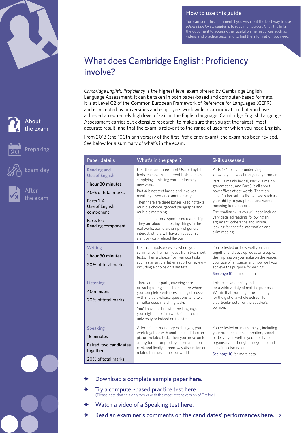



After the exam

Exam day

How to use this guide

You can print this document if you wish, but the best way to use *Information for candidates* is to read it on screen. Click the links in the document to access other useful online resources such as videos and practice tests, and to find the information you need.

# What does Cambridge English: Proficiency involve?

*Cambridge English: Proficiency* is the highest level exam offered by Cambridge English Language Assessment. It can be taken in both paper-based and computer-based formats. It is at Level C2 of the Common European Framework of Reference for Languages (CEFR), and is accepted by universities and employers worldwide as an indication that you have achieved an extremely high level of skill in the English language. Cambridge English Language Assessment carries out extensive research, to make sure that you get the fairest, most accurate result, and that the exam is relevant to the range of uses for which you need English.

From 2013 (the 100th anniversary of the first Proficiency exam), the exam has been revised. See below for a summary of what's in the exam.

| Paper details                                                                                                                                                        | What's in the paper?                                                                                                                                                                                                                                                                                                                                                                                                                                                                                                                                        | <b>Skills assessed</b>                                                                                                                                                                                                                                                                                                                                                                                                                                                                               |
|----------------------------------------------------------------------------------------------------------------------------------------------------------------------|-------------------------------------------------------------------------------------------------------------------------------------------------------------------------------------------------------------------------------------------------------------------------------------------------------------------------------------------------------------------------------------------------------------------------------------------------------------------------------------------------------------------------------------------------------------|------------------------------------------------------------------------------------------------------------------------------------------------------------------------------------------------------------------------------------------------------------------------------------------------------------------------------------------------------------------------------------------------------------------------------------------------------------------------------------------------------|
| <b>Reading and</b><br><b>Use of English</b><br>1 hour 30 minutes<br>40% of total marks<br>Parts 1-4<br>Use of English<br>component<br>Parts 5-7<br>Reading component | First there are three short Use of English<br>texts, each with a different task, such as<br>supplying a missing word or forming a<br>new word.<br>Part 4 is not text based and involves<br>rewriting a sentence another way.<br>Then there are three longer Reading texts:<br>multiple choice, gapped paragraphs and<br>multiple matching.<br>Texts are not for a specialised readership.<br>They are about interesting things in the<br>real world. Some are simply of general<br>interest; others will have an academic<br>slant or work-related flavour. | Parts 1-4 test your underlying<br>knowledge of vocabulary and grammar.<br>Part 1 is mainly lexical, Part 2 is mainly<br>grammatical, and Part 3 is all about<br>how affixes affect words. There are<br>lots of other sub-skills involved such as<br>your ability to paraphrase and work out<br>meaning from context.<br>The reading skills you will need include<br>very detailed reading, following an<br>argument, coherence and linking,<br>looking for specific information and<br>skim reading. |
| Writing<br>1 hour 30 minutes<br>20% of total marks                                                                                                                   | First a compulsory essay where you<br>summarise the main ideas from two short<br>texts. Then a choice from various tasks.<br>such as an article, letter, report or review -<br>including a choice on a set text.                                                                                                                                                                                                                                                                                                                                            | You're tested on how well you can put<br>together and develop ideas on a topic,<br>the impression you make on the reader,<br>your use of language, and how well you<br>achieve the purpose for writing.<br>See page 10 for more detail.                                                                                                                                                                                                                                                              |
| Listening<br>40 minutes<br>20% of total marks                                                                                                                        | There are four parts, covering short<br>extracts; a long speech or lecture where<br>you complete sentences; a long discussion<br>with multiple-choice questions; and two<br>simultaneous matching tasks.<br>You'll have to deal with the language<br>you might meet in a work situation, at<br>university or indeed on the street.                                                                                                                                                                                                                          | This tests your ability to listen<br>for a wide variety of real-life purposes.<br>Within that, you might be listening<br>for the gist of a whole extract, for<br>a particular detail or the speaker's<br>opinion.                                                                                                                                                                                                                                                                                    |
| <b>Speaking</b><br>16 minutes<br>Paired: two candidates<br>together<br>20% of total marks                                                                            | After brief introductory exchanges, you<br>work together with another candidate on a<br>picture-related task. Then you move on to<br>a long turn prompted by information on a<br>card, and finally a three-way discussion on<br>related themes in the real world.                                                                                                                                                                                                                                                                                           | You're tested on many things, including<br>your pronunciation, intonation, speed<br>of delivery as well as your ability to<br>organise your thoughts, negotiate and<br>sustain a discussion.<br>See page 10 for more detail.                                                                                                                                                                                                                                                                         |

- x [Download a complete sample paper](http://www.cambridgeenglish.org/Images/21957-cpe-sample-papers.zip) **here**.
- x [Try a computer-based practice test](http://www.cambridgeenglish.org/exams-and-qualifications/proficiency/how-to-prepare/) **here**.(Please note that this only works with the most recent version of Firefox.)
- x [Watch a video of a Speaking test](http://www.youtube.com/watch?v=Z-zh_rPNaqU) **here**.
- **→** [Read an examiner's comments on the candidates' performances](http://www.cambridgeenglish.org/images/cpe-examiner-comments.pdf) here. 2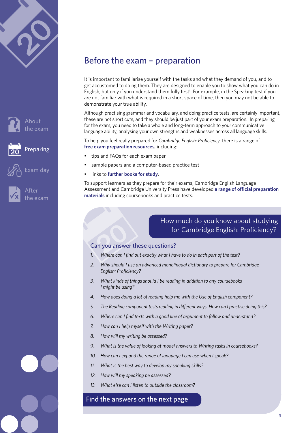



xam dav





# Before the exam – preparation

It is important to familiarise yourself with the tasks and what they demand of you, and to get accustomed to doing them. They are designed to enable you to show what you can do in English, but only if you understand them fully first! For example, in the Speaking test if you are not familiar with what is required in a short space of time, then you may not be able to demonstrate your true ability.

Although practising grammar and vocabulary, and doing practice tests, are certainly important, these are not short cuts, and they should be just part of your exam preparation. In preparing for the exam, you need to take a whole and long-term approach to your communicative language ability, analysing your own strengths and weaknesses across all language skills.

To help you feel really prepared for *Cambridge English: Proficiency*, there is a range of **[free exam preparation resources](http://www.cambridgeenglish.org/exams-and-qualifications/proficiency/how-to-prepare/)**, including:

- tips and FAQs for each exam paper
- sample papers and a computer-based practice test
- links to **[further books for study](http://www.cambridgeenglish.org/prepare-and-practise/books-for-study/)**.

To support learners as they prepare for their exams, Cambridge English Language Assessment and Cambridge University Press have developed **[a range of official preparation](http://www.cambridgeenglish.org/prepare-and-practise/official-cambridge-english-preparation-materials/proficiency/)  [materials](http://www.cambridgeenglish.org/prepare-and-practise/official-cambridge-english-preparation-materials/proficiency/)** including coursebooks and practice tests.

#### How much do you know about studying for Cambridge English: Proficiency?

#### Can you answer these questions?

- *1. Where can I find out exactly what I have to do in each part of the test?*
- *2. Why should I use an advanced monolingual dictionary to prepare for Cambridge English: Proficiency?*
- *3. What kinds of things should I be reading in addition to any coursebooks I might be using?*
- *4. How does doing a lot of reading help me with the Use of English component?*
- *5. The Reading component tests reading in different ways. How can I practise doing this?*
- *6. Where can I find texts with a good line of argument to follow and understand?*
- *7. How can I help myself with the Writing paper?*
- *8. How will my writing be assessed?*
- *9. What is the value of looking at model answers to Writing tasks in coursebooks?*
- *10. How can I expand the range of language I can use when I speak?*
- *11. What is the best way to develop my speaking skills?*
- *12. How will my speaking be assessed?*
- *13. What else can I listen to outside the classroom?*

#### [Find the answers on the next page](#page-3-0)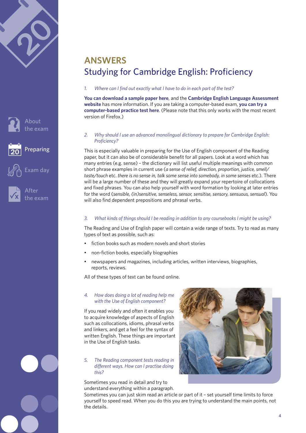<span id="page-3-0"></span>





# **ANSWERS** Studying for Cambridge English: Proficiency

*1. Where can I find out exactly what I have to do in each part of the test?*

**[You can download a sample paper here](http://www.cambridgeenglish.org/Images/21957-cpe-sample-papers.zip)**, and the **[Cambridge English Language Assessment](http://www.cambridgeenglish.org/exams-and-qualifications/proficiency/whats-in-the-exam/) website** has more information. If you are taking a computer-based exam, **[you can try a](http://www.cambridgeenglish.org/exams-and-qualifications/proficiency/how-to-prepare/)  [computer-based practice test here](http://www.cambridgeenglish.org/exams-and-qualifications/proficiency/how-to-prepare/)**. (Please note that this only works with the most recent version of Firefox.)

*2. Why should I use an advanced monolingual dictionary to prepare for Cambridge English: Proficiency?* 

This is especially valuable in preparing for the Use of English component of the Reading paper, but it can also be of considerable benefit for all papers. Look at a word which has many entries (e.g. sense) – the dictionary will list useful multiple meanings with common short phrase examples in current use (*a sense of relief, direction, proportion, justice, smell/ taste/touch* etc. *there is no sense in, talk some sense into somebody, in some senses* etc.). There will be a large number of these and they will greatly expand your repertoire of collocations and fixed phrases. You can also help yourself with word formation by looking at later entries for the word (*sensible, (in)sensitive, senseless, sensor, sensitise, sensory, sensuous, sensual*). You will also find dependent prepositions and phrasal verbs.

#### *3. What kinds of things should I be reading in addition to any coursebooks I might be using?*

The Reading and Use of English paper will contain a wide range of texts. Try to read as many types of text as possible, such as:

- fiction books such as modern novels and short stories
- non-fiction books, especially biographies
- newspapers and magazines, including articles, written interviews, biographies, reports, reviews.

All of these types of text can be found online.

#### *4. How does doing a lot of reading help me with the Use of English component?*

If you read widely and often it enables you to acquire knowledge of aspects of English such as collocations, idioms, phrasal verbs and linkers, and get a feel for the syntax of written English. These things are important in the Use of English tasks.

#### *5. The Reading component tests reading in different ways. How can I practise doing this?*

Sometimes you read in detail and try to understand everything within a paragraph.



Sometimes you can just skim read an article or part of it – set yourself time limits to force yourself to speed read. When you do this you are trying to understand the main points, not the details.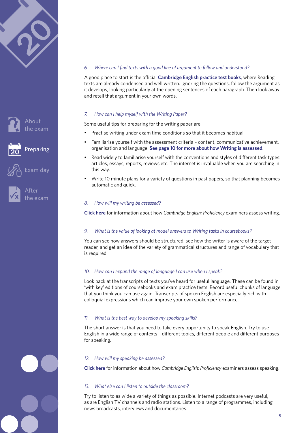





#### After he exam

#### *6. Where can I find texts with a good line of argument to follow and understand?*

A good place to start is the official **[Cambridge English practice test books](http://www.cambridgeenglish.org/prepare-and-practise/official-cambridge-english-preparation-materials/proficiency/)**, where Reading texts are already condensed and well written. Ignoring the questions, follow the argument as it develops, looking particularly at the opening sentences of each paragraph. Then look away and retell that argument in your own words.

#### *7. How can I help myself with the Writing Paper?*

Some useful tips for preparing for the writing paper are:

- Practise writing under exam time conditions so that it becomes habitual.
- Familiarise yourself with the assessment criteria content, communicative achievement, organisation and language. **[See page 10 for more about how Writing is assessed](#page-9-0)**.
- Read widely to familiarise yourself with the conventions and styles of different task types: articles, essays, reports, reviews etc. The internet is invaluable when you are searching in this way.
- Write 10 minute plans for a variety of questions in past papers, so that planning becomes automatic and quick.

#### *8. How will my writing be assessed?*

**[Click here](#page-9-0)** for information about how *Cambridge English: Proficiency* examiners assess writing.

#### *9. What is the value of looking at model answers to Writing tasks in coursebooks?*

You can see how answers should be structured, see how the writer is aware of the target reader, and get an idea of the variety of grammatical structures and range of vocabulary that is required.

#### *10. How can I expand the range of language I can use when I speak?*

Look back at the transcripts of texts you've heard for useful language. These can be found in 'with key' editions of coursebooks and exam practice tests. Record useful chunks of language that you think you can use again. Transcripts of spoken English are especially rich with colloquial expressions which can improve your own spoken performance.

#### *11. What is the best way to develop my speaking skills?*

The short answer is that you need to take every opportunity to speak English. Try to use English in a wide range of contexts – different topics, different people and different purposes for speaking.

#### *12. How will my speaking be assessed?*

**[Click here](http://www.cambridgeenglish.org/images/cpe-examiner-comments.pdf)** for information about how *Cambridge English: Proficiency* examiners assess speaking.

#### *13. What else can I listen to outside the classroom?*

Try to listen to as wide a variety of things as possible. Internet podcasts are very useful, as are English TV channels and radio stations. Listen to a range of programmes, including news broadcasts, interviews and documentaries.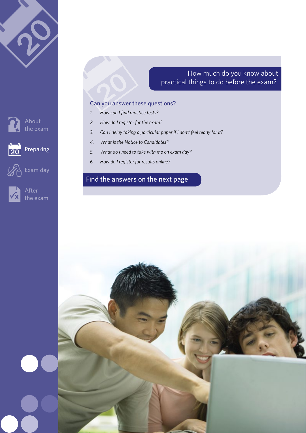

### How much do you know about practical things to do before the exam?

#### Can you answer these questions?

- *1. How can I find practice tests?*
- *2. How do I register for the exam?*
- *3. Can I delay taking a particular paper if I don't feel ready for it?*
- *4. What is the Notice to Candidates?*
- *5. What do I need to take with me on exam day?*
- *6. How do I register for results online?*

# [Find the answers on the next page](#page-3-0)





Preparing



 $\overline{20}$ 

After the exam

Exam day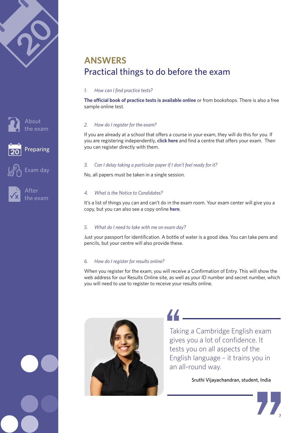



the exam

Preparing



Exam day



After he exam

# **ANSWERS** Practical things to do before the exam

#### *1. How can I find practice tests?*

**[The official book of practice tests is available online](http://www.cambridgeenglish.org/prepare-and-practise/official-cambridge-english-preparation-materials/proficiency/)** or from bookshops. There is also a free sample online test.

#### *2. How do I register for the exam?*

If you are already at a school that offers a course in your exam, they will do this for you. If you are registering independently, **click [here](http://www.cambridgeenglish.org/find-a-centre/find-an-exam-centre/)** and find a centre that offers your exam. Then you can register directly with them.

#### *3. Can I delay taking a particular paper if I don't feel ready for it?*

No, all papers must be taken in a single session.

#### *4. What is the Notice to Candidates?*

It's a list of things you can and can't do in the exam room. Your exam center will give you a copy, but you can also see a copy online **[here](http://www.cambridgeenglish.org/images/113247-bec-summary-regulations.pdf#page=2)**.

#### *5. What do I need to take with me on exam day?*

Just your passport for identification. A bottle of water is a good idea. You can take pens and pencils, but your centre will also provide these.

#### *6. How do I register for results online?*

When you register for the exam, you will receive a Confirmation of Entry. This will show the web address for our Results Online site, as well as your ID number and secret number, which you will need to use to register to receive your results online.



44

Taking a Cambridge English exam gives you a lot of confidence. It tests you on all aspects of the English language – it trains you in an all-round way.

Sruthi Vijayachandran, student, India

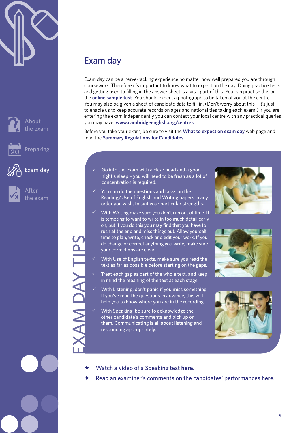





After the exam

# EXAM DAY TIPS **CAM DAY TIPS**

# Exam day

Exam day can be a nerve-racking experience no matter how well prepared you are through coursework. Therefore it's important to know what to expect on the day. Doing practice tests and getting used to filling in the answer sheet is a vital part of this. You can practise this on the **[online sample test](http://www.cambridgeenglish.org/exams-and-qualifications/proficiency/how-to-prepare/)**. You should expect a photograph to be taken of you at the centre. You may also be given a sheet of candidate data to fill in. (Don't worry about this – it's just to enable us to keep accurate records on ages and nationalities taking each exam.) If you are entering the exam independently you can contact your local centre with any practical queries you may have: **www.cambridgeenglish.org/centres**

Before you take your exam, be sure to visit the **[What to expect on exam day](http://www.cambridgeesol.org/exam-preparation/exam-day.html)** web page and read the **[Summary Regulations for Candidates](http://www.cambridgeenglish.org/images/113247-bec-summary-regulations.pdf)**.

- 3 Go into the exam with a clear head and a good night's sleep – you will need to be fresh as a lot of concentration is required.
- You can do the questions and tasks on the Reading/Use of English and Writing papers in any order you wish, to suit your particular strengths.
- With Writing make sure you don't run out of time. It is tempting to want to write in too much detail early on, but if you do this you may find that you have to rush at the end and miss things out. Allow yourself time to plan, write, check and edit your work. If you do change or correct anything you write, make sure your corrections are clear.
- With Use of English texts, make sure you read the text as far as possible before starting on the gaps.
- Treat each gap as part of the whole text, and keep in mind the meaning of the text at each stage.
- With Listening, don't panic if you miss something. If you've read the questions in advance, this will help you to know where you are in the recording.
- With Speaking, be sure to acknowledge the other candidate's comments and pick up on them. Communicating is all about listening and responding appropriately.







- x [Watch a video of a Speaking test](http://www.youtube.com/watch?v=Z-zh_rPNaqU) **here**.
- x [Read an examiner's comments on the candidates' performances](http://www.cambridgeenglish.org/images/cpe-examiner-comments.pdf) **here**.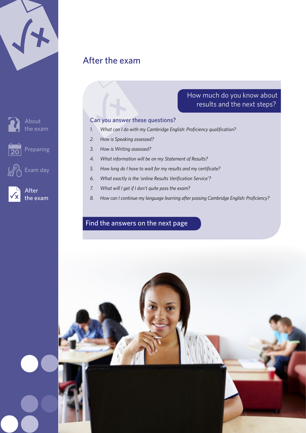|  | $\blacktriangleleft$ |  |
|--|----------------------|--|
|  |                      |  |
|  |                      |  |

Preparing

About the exam



After the exam

Exam day

# After the exam



- *1. What can I do with my Cambridge English: Proficiency qualification?*
- *2. How is Speaking assessed?*
- *3. How is Writing assessed?*
- *4. What information will be on my Statement of Results?*
- *5. How long do I have to wait for my results and my certificate?*
- *6. What exactly is the 'online Results Verification Service'?*
- *7. What will I get if I don't quite pass the exam?*
- *8. How can I continue my language learning after passing Cambridge English: Proficiency?*

How much do you know about results and the next steps?

## [Find the answers on the next page](#page-3-0)

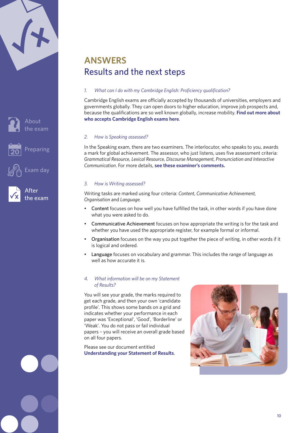<span id="page-9-0"></span>

|  | $\blacktriangleleft$ |  |
|--|----------------------|--|
|  |                      |  |
|  |                      |  |



Preparing

Exam day



After the exam

# **ANSWERS** Results and the next steps

#### *1. What can I do with my Cambridge English: Proficiency qualification?*

Cambridge English exams are officially accepted by thousands of universities, employers and governments globally. They can open doors to higher education, improve job prospects and, because the qualifications are so well known globally, increase mobility. **[Find out more about](http://www.cambridgeenglish.org/recognition/)  [who accepts Cambridge English exams here](http://www.cambridgeenglish.org/recognition/)**.

#### *2. How is Speaking assessed?*

In the Speaking exam, there are two examiners. The interlocutor, who speaks to you, awards a mark for global achievement. The assessor, who just listens, uses five assessment criteria: *Grammatical Resource, Lexical Resource, Discourse Management, Pronunciation and Interactive Communication*. For more details, **[see these examiner's comments.](http://www.cambridgeenglish.org/images/cpe-examiner-comments.pdf)**

#### *3. How is Writing assessed?*

Writing tasks are marked using four criteria: *Content, Communicative Achievement, Organisation* and *Language.* 

- Content focuses on how well you have fulfilled the task, in other words if you have done what you were asked to do.
- Communicative Achievement focuses on how appropriate the writing is for the task and whether you have used the appropriate register, for example formal or informal.
- Organisation focuses on the way you put together the piece of writing, in other words if it is logical and ordered.
- Language focuses on vocabulary and grammar. This includes the range of language as well as how accurate it is.

#### *4. What information will be on my Statement of Results?*

You will see your grade, the marks required to get each grade, and then your own 'candidate profile'. This shows some bands on a grid and indicates whether your performance in each paper was 'Exceptional', 'Good', 'Borderline' or 'Weak'. You do not pass or fail individual papers – you will receive an overall grade based on all four papers.

Please see our document entitled **[Understanding your Statement of Results](http://www.cambridgeenglish.org/images/21982-cpe-understanding-statement-of-results.pdf)**.